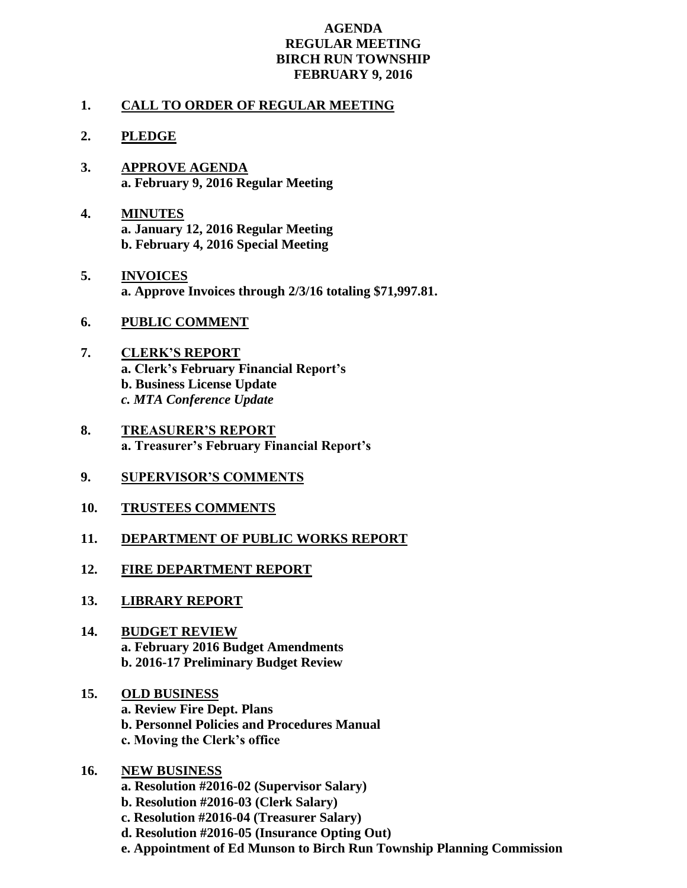## **AGENDA REGULAR MEETING BIRCH RUN TOWNSHIP FEBRUARY 9, 2016**

## **1. CALL TO ORDER OF REGULAR MEETING**

## **2. PLEDGE**

- **3. APPROVE AGENDA a. February 9, 2016 Regular Meeting**
- **4. MINUTES a. January 12, 2016 Regular Meeting b. February 4, 2016 Special Meeting**
- **5. INVOICES a. Approve Invoices through 2/3/16 totaling \$71,997.81.**
- **6. PUBLIC COMMENT**
- **7. CLERK'S REPORT a. Clerk's February Financial Report's b. Business License Update** *c. MTA Conference Update*
- **8. TREASURER'S REPORT a. Treasurer's February Financial Report's**
- **9. SUPERVISOR'S COMMENTS**
- **10. TRUSTEES COMMENTS**
- **11. DEPARTMENT OF PUBLIC WORKS REPORT**
- **12. FIRE DEPARTMENT REPORT**
- **13. LIBRARY REPORT**
- **14. BUDGET REVIEW a. February 2016 Budget Amendments b. 2016-17 Preliminary Budget Review**
- **15. OLD BUSINESS a. Review Fire Dept. Plans b. Personnel Policies and Procedures Manual c. Moving the Clerk's office**
- **16. NEW BUSINESS**
	- **a. Resolution #2016-02 (Supervisor Salary)**
	- **b. Resolution #2016-03 (Clerk Salary)**
	- **c. Resolution #2016-04 (Treasurer Salary)**
	- **d. Resolution #2016-05 (Insurance Opting Out)**
	- **e. Appointment of Ed Munson to Birch Run Township Planning Commission**